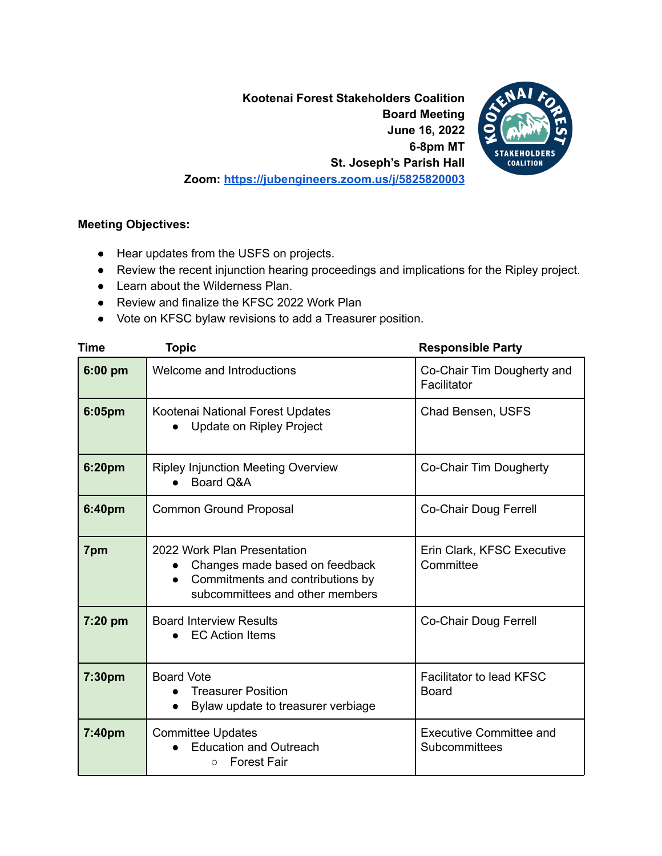**Kootenai Forest Stakeholders Coalition Board Meeting June 16, 2022 6-8pm MT St. Joseph's Parish Hall Zoom: <https://jubengineers.zoom.us/j/5825820003>**



## **Meeting Objectives:**

- Hear updates from the USFS on projects.
- Review the recent injunction hearing proceedings and implications for the Ripley project.
- Learn about the Wilderness Plan.
- Review and finalize the KFSC 2022 Work Plan
- Vote on KFSC bylaw revisions to add a Treasurer position.

| Time    | <b>Topic</b>                                                                                                                                      | <b>Responsible Party</b>                        |
|---------|---------------------------------------------------------------------------------------------------------------------------------------------------|-------------------------------------------------|
| 6:00 pm | Welcome and Introductions                                                                                                                         | Co-Chair Tim Dougherty and<br>Facilitator       |
| 6:05pm  | Kootenai National Forest Updates<br><b>Update on Ripley Project</b>                                                                               | Chad Bensen, USFS                               |
| 6:20pm  | <b>Ripley Injunction Meeting Overview</b><br>Board Q&A                                                                                            | Co-Chair Tim Dougherty                          |
| 6:40pm  | <b>Common Ground Proposal</b>                                                                                                                     | Co-Chair Doug Ferrell                           |
| 7pm     | 2022 Work Plan Presentation<br>Changes made based on feedback<br>Commitments and contributions by<br>$\bullet$<br>subcommittees and other members | Erin Clark, KFSC Executive<br>Committee         |
| 7:20 pm | <b>Board Interview Results</b><br><b>EC Action Items</b>                                                                                          | Co-Chair Doug Ferrell                           |
| 7:30pm  | <b>Board Vote</b><br><b>Treasurer Position</b><br>Bylaw update to treasurer verbiage                                                              | Facilitator to lead KFSC<br><b>Board</b>        |
| 7:40pm  | <b>Committee Updates</b><br><b>Education and Outreach</b><br><b>Forest Fair</b><br>$\circ$                                                        | <b>Executive Committee and</b><br>Subcommittees |